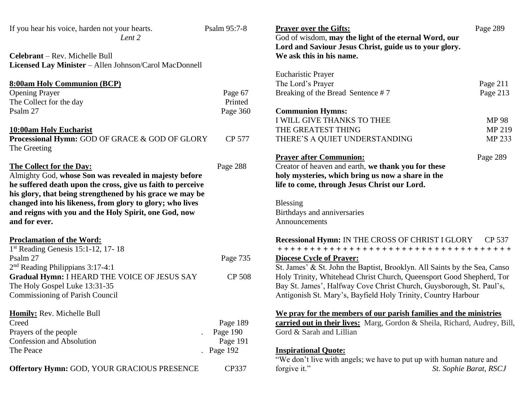| If you hear his voice, harden not your hearts.<br>Lent 2<br>Celebrant - Rev. Michelle Bull                                                                                                                                                      | Psalm 95:7-8  | <b>Prayer over the Gifts:</b><br>God of wisdom, may the light of the eternal Word, our<br>Lord and Saviour Jesus Christ, guide us to your glory.<br>We ask this in his name. | Page 289     |
|-------------------------------------------------------------------------------------------------------------------------------------------------------------------------------------------------------------------------------------------------|---------------|------------------------------------------------------------------------------------------------------------------------------------------------------------------------------|--------------|
| Licensed Lay Minister - Allen Johnson/Carol MacDonnell                                                                                                                                                                                          |               |                                                                                                                                                                              |              |
|                                                                                                                                                                                                                                                 |               | <b>Eucharistic Prayer</b>                                                                                                                                                    |              |
| <b>8:00am Holy Communion (BCP)</b>                                                                                                                                                                                                              |               | The Lord's Prayer                                                                                                                                                            | Page 211     |
| <b>Opening Prayer</b>                                                                                                                                                                                                                           | Page 67       | Breaking of the Bread Sentence #7                                                                                                                                            | Page 213     |
| The Collect for the day                                                                                                                                                                                                                         | Printed       |                                                                                                                                                                              |              |
| Psalm 27                                                                                                                                                                                                                                        | Page 360      | <b>Communion Hymns:</b>                                                                                                                                                      |              |
|                                                                                                                                                                                                                                                 |               | I WILL GIVE THANKS TO THEE                                                                                                                                                   | <b>MP 98</b> |
| 10:00am Holy Eucharist                                                                                                                                                                                                                          |               | THE GREATEST THING                                                                                                                                                           | MP 219       |
| Processional Hymn: GOD OF GRACE & GOD OF GLORY<br>The Greeting                                                                                                                                                                                  | CP 577        | THERE'S A QUIET UNDERSTANDING                                                                                                                                                | MP 233       |
|                                                                                                                                                                                                                                                 |               | <b>Prayer after Communion:</b>                                                                                                                                               | Page 289     |
| The Collect for the Day:                                                                                                                                                                                                                        | Page 288      | Creator of heaven and earth, we thank you for these                                                                                                                          |              |
| Almighty God, whose Son was revealed in majesty before<br>he suffered death upon the cross, give us faith to perceive<br>his glory, that being strengthened by his grace we may be<br>changed into his likeness, from glory to glory; who lives |               | holy mysteries, which bring us now a share in the<br>life to come, through Jesus Christ our Lord.<br><b>Blessing</b>                                                         |              |
| and reigns with you and the Holy Spirit, one God, now                                                                                                                                                                                           |               | Birthdays and anniversaries                                                                                                                                                  |              |
| and for ever.                                                                                                                                                                                                                                   |               | Announcements                                                                                                                                                                |              |
| <b>Proclamation of the Word:</b>                                                                                                                                                                                                                |               | <b>Recessional Hymn: IN THE CROSS OF CHRIST I GLORY</b>                                                                                                                      | CP 537       |
| 1st Reading Genesis 15:1-12, 17-18                                                                                                                                                                                                              |               | ++++++++++++++++++++++++++++++++++++++                                                                                                                                       |              |
| Psalm 27                                                                                                                                                                                                                                        | Page 735      | <b>Diocese Cycle of Prayer:</b>                                                                                                                                              |              |
| 2 <sup>nd</sup> Reading Philippians 3:17-4:1                                                                                                                                                                                                    |               | St. James' & St. John the Baptist, Brooklyn. All Saints by the Sea, Canso                                                                                                    |              |
| Gradual Hymn: I HEARD THE VOICE OF JESUS SAY                                                                                                                                                                                                    | <b>CP 508</b> | Holy Trinity, Whitehead Christ Church, Queensport Good Shepherd, Tor                                                                                                         |              |
| The Holy Gospel Luke 13:31-35                                                                                                                                                                                                                   |               | Bay St. James', Halfway Cove Christ Church, Guysborough, St. Paul's,                                                                                                         |              |
| Commissioning of Parish Council                                                                                                                                                                                                                 |               | Antigonish St. Mary's, Bayfield Holy Trinity, Country Harbour                                                                                                                |              |
| Homily: Rev. Michelle Bull                                                                                                                                                                                                                      |               | We pray for the members of our parish families and the ministries                                                                                                            |              |
| Creed                                                                                                                                                                                                                                           | Page 189      | <b>carried out in their lives:</b> Marg, Gordon & Sheila, Richard, Audrey, Bill,                                                                                             |              |
| Prayers of the people                                                                                                                                                                                                                           | Page 190      | Gord & Sarah and Lillian                                                                                                                                                     |              |
| <b>Confession and Absolution</b>                                                                                                                                                                                                                | Page 191      |                                                                                                                                                                              |              |
| The Peace                                                                                                                                                                                                                                       | Page 192      | <b>Inspirational Quote:</b>                                                                                                                                                  |              |
| Offertory Hymn: GOD, YOUR GRACIOUS PRESENCE                                                                                                                                                                                                     | CP337         | "We don't live with angels; we have to put up with human nature and<br>forgive it."<br>St. Sophie Barat, RSCJ                                                                |              |
|                                                                                                                                                                                                                                                 |               |                                                                                                                                                                              |              |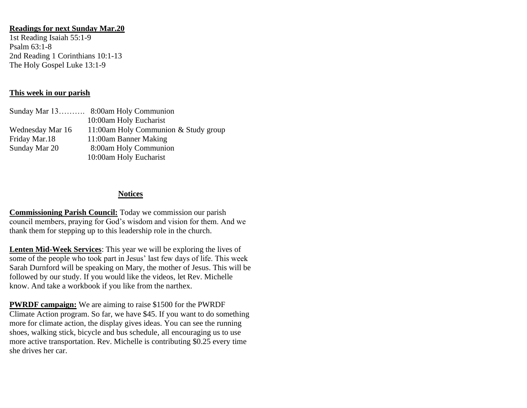## **Readings for next Sunday Mar.20**

1st Reading Isaiah 55:1-9 Psalm 63:1-8 2nd Reading 1 Corinthians 10:1-13 The Holy Gospel Luke 13:1-9

## **This week in our parish**

|                  | Sunday Mar 13 8:00am Holy Communion  |
|------------------|--------------------------------------|
|                  | 10:00am Holy Eucharist               |
| Wednesday Mar 16 | 11:00am Holy Communion & Study group |
| Friday Mar.18    | 11:00am Banner Making                |
| Sunday Mar 20    | 8:00am Holy Communion                |
|                  | 10:00am Holy Eucharist               |

## **Notices**

**Commissioning Parish Council:** Today we commission our parish council members, praying for God's wisdom and vision for them. And we thank them for stepping up to this leadership role in the church.

**Lenten Mid-Week Services**: This year we will be exploring the lives of some of the people who took part in Jesus' last few days of life. This week Sarah Durnford will be speaking on Mary, the mother of Jesus. This will be followed by our study. If you would like the videos, let Rev. Michelle know. And take a workbook if you like from the narthex.

**PWRDF campaign:** We are aiming to raise \$1500 for the PWRDF Climate Action program. So far, we have \$45. If you want to do something more for climate action, the display gives ideas. You can see the running shoes, walking stick, bicycle and bus schedule, all encouraging us to use more active transportation. Rev. Michelle is contributing \$0.25 every time she drives her car.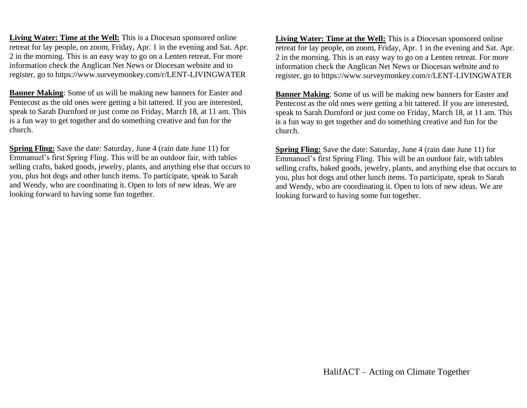**Living Water: Time at the Well:** This is a Diocesan sponsored online retreat for lay people, on zoom, Friday, Apr. 1 in the evening and Sat. Apr. 2 in the morning. This is an easy way to go on a Lenten retreat. For more information check the Anglican Net News or Diocesan website and to register, go to https://www.surveymonkey.com/r/LENT-LIVINGWATER

**Banner Making**: Some of us will be making new banners for Easter and Pentecost as the old ones were getting a bit tattered. If you are interested, speak to Sarah Durnford or just come on Friday, March 18, at 11 am. This is a fun way to get together and do something creative and fun for the church.

**Spring Fling:** Save the date: Saturday, June 4 (rain date June 11) for Emmanuel's first Spring Fling. This will be an outdoor fair, with tables selling crafts, baked goods, jewelry, plants, and anything else that occurs to you, plus hot dogs and other lunch items. To participate, speak to Sarah and Wendy, who are coordinating it. Open to lots of new ideas. We are looking forward to having some fun together.

**Living Water: Time at the Well:** This is a Diocesan sponsored online retreat for lay people, on zoom, Friday, Apr. 1 in the evening and Sat. Apr. 2 in the morning. This is an easy way to go on a Lenten retreat. For more information check the Anglican Net News or Diocesan website and to register, go to https://www.surveymonkey.com/r/LENT-LIVINGWATER

**Banner Making**: Some of us will be making new banners for Easter and Pentecost as the old ones were getting a bit tattered. If you are interested, speak to Sarah Durnford or just come on Friday, March 18, at 11 am. This is a fun way to get together and do something creative and fun for the church.

**Spring Fling:** Save the date: Saturday, June 4 (rain date June 11) for Emmanuel's first Spring Fling. This will be an outdoor fair, with tables selling crafts, baked goods, jewelry, plants, and anything else that occurs to you, plus hot dogs and other lunch items. To participate, speak to Sarah and Wendy, who are coordinating it. Open to lots of new ideas. We are looking forward to having some fun together.